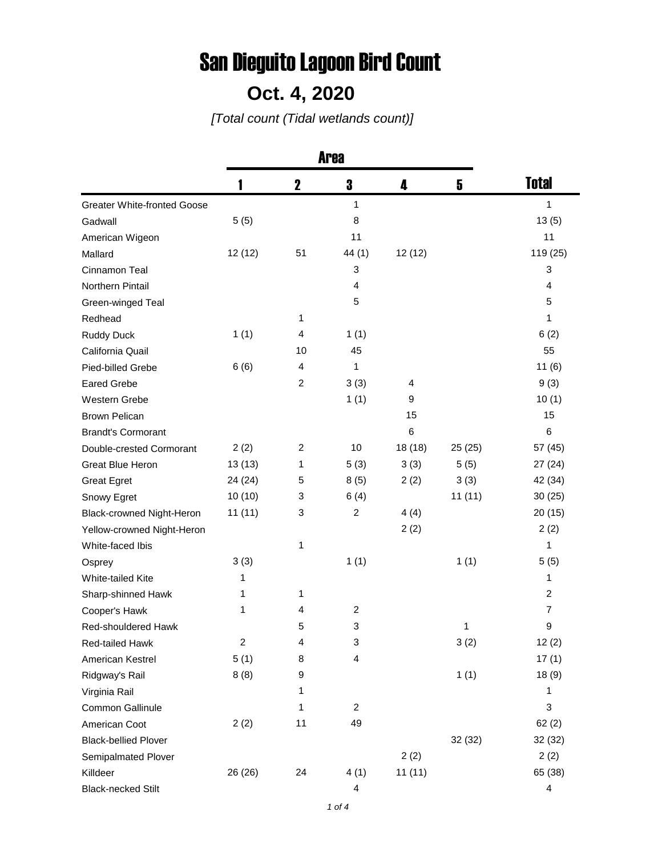## San Dieguito Lagoon Bird Count

## **Oct. 4, 2020**

*[Total count (Tidal wetlands count)]*

|                                    | 1                | $\mathbf 2$    | 3              | 4       | 5      | <b>Total</b>   |
|------------------------------------|------------------|----------------|----------------|---------|--------|----------------|
| <b>Greater White-fronted Goose</b> |                  |                | 1              |         |        | 1              |
| Gadwall                            | 5(5)             |                | 8              |         |        | 13(5)          |
| American Wigeon                    |                  |                | 11             |         |        | 11             |
| Mallard                            | 12(12)           | 51             | 44(1)          | 12(12)  |        | 119 (25)       |
| Cinnamon Teal                      |                  |                | 3              |         |        | 3              |
| Northern Pintail                   |                  |                | 4              |         |        | 4              |
| Green-winged Teal                  |                  |                | 5              |         |        | 5              |
| Redhead                            |                  | 1              |                |         |        | 1              |
| <b>Ruddy Duck</b>                  | 1(1)             | 4              | 1(1)           |         |        | 6(2)           |
| California Quail                   |                  | 10             | 45             |         |        | 55             |
| Pied-billed Grebe                  | 6(6)             | 4              | 1              |         |        | 11(6)          |
| <b>Eared Grebe</b>                 |                  | $\overline{c}$ | 3(3)           | 4       |        | 9(3)           |
| Western Grebe                      |                  |                | 1(1)           | 9       |        | 10(1)          |
| <b>Brown Pelican</b>               |                  |                |                | 15      |        | 15             |
| <b>Brandt's Cormorant</b>          |                  |                |                | 6       |        | 6              |
| Double-crested Cormorant           | 2(2)             | $\overline{c}$ | 10             | 18 (18) | 25(25) | 57 (45)        |
| <b>Great Blue Heron</b>            | 13(13)           | 1              | 5(3)           | 3(3)    | 5(5)   | 27 (24)        |
| <b>Great Egret</b>                 | 24 (24)          | 5              | 8(5)           | 2(2)    | 3(3)   | 42 (34)        |
| Snowy Egret                        | 10(10)           | 3              | 6(4)           |         | 11(11) | 30(25)         |
| Black-crowned Night-Heron          | 11(11)           | 3              | $\overline{c}$ | 4(4)    |        | 20(15)         |
| Yellow-crowned Night-Heron         |                  |                |                | 2(2)    |        | 2(2)           |
| White-faced Ibis                   |                  | 1              |                |         |        | 1              |
| Osprey                             | 3(3)             |                | 1(1)           |         | 1(1)   | 5(5)           |
| White-tailed Kite                  | 1                |                |                |         |        | 1              |
| Sharp-shinned Hawk                 | 1                | 1              |                |         |        | 2              |
| Cooper's Hawk                      | 1                | 4              | 2              |         |        | 7              |
| <b>Red-shouldered Hawk</b>         |                  | 5              | 3              |         | 1      | 9              |
| Red-tailed Hawk                    | $\boldsymbol{2}$ | 4              | 3              |         | 3(2)   | 12(2)          |
| American Kestrel                   | 5(1)             | 8              | 4              |         |        | 17(1)          |
| Ridgway's Rail                     | 8(8)             | 9              |                |         | 1(1)   | 18(9)          |
| Virginia Rail                      |                  | 1              |                |         |        | 1              |
| Common Gallinule                   |                  | 1              | 2              |         |        | 3              |
| American Coot                      | 2(2)             | 11             | 49             |         |        | 62(2)          |
| <b>Black-bellied Plover</b>        |                  |                |                |         | 32(32) | 32 (32)        |
| Semipalmated Plover                |                  |                |                | 2(2)    |        | 2(2)           |
| Killdeer                           | 26 (26)          | 24             | 4(1)           | 11(11)  |        | 65 (38)        |
| <b>Black-necked Stilt</b>          |                  |                | 4              |         |        | $\overline{4}$ |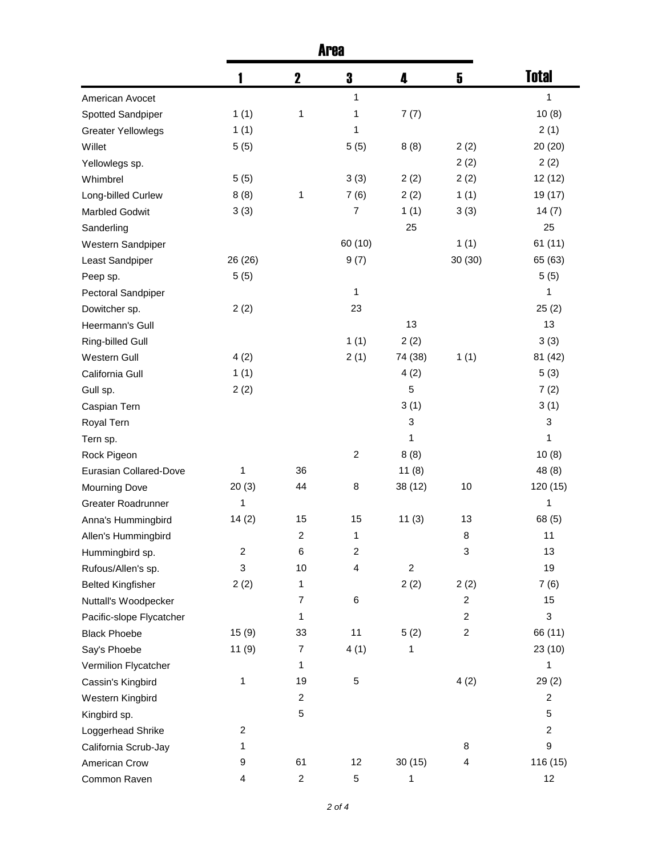|                           | 1              | $\mathbf 2$      | 3                       | 4                         | 5              | <b>Total</b>   |
|---------------------------|----------------|------------------|-------------------------|---------------------------|----------------|----------------|
| American Avocet           |                |                  | 1                       |                           |                | 1              |
| Spotted Sandpiper         | 1(1)           | 1                | 1                       | 7(7)                      |                | 10(8)          |
| <b>Greater Yellowlegs</b> | 1(1)           |                  | 1                       |                           |                | 2(1)           |
| Willet                    | 5(5)           |                  | 5(5)                    | 8(8)                      | 2(2)           | 20 (20)        |
| Yellowlegs sp.            |                |                  |                         |                           | 2(2)           | 2(2)           |
| Whimbrel                  | 5(5)           |                  | 3(3)                    | 2(2)                      | 2(2)           | 12(12)         |
| Long-billed Curlew        | 8(8)           | 1                | 7(6)                    | 2(2)                      | 1(1)           | 19 (17)        |
| <b>Marbled Godwit</b>     | 3(3)           |                  | $\overline{7}$          | 1(1)                      | 3(3)           | 14(7)          |
| Sanderling                |                |                  |                         | 25                        |                | 25             |
| Western Sandpiper         |                |                  | 60 (10)                 |                           | 1(1)           | 61(11)         |
| Least Sandpiper           | 26 (26)        |                  | 9(7)                    |                           | 30 (30)        | 65 (63)        |
| Peep sp.                  | 5(5)           |                  |                         |                           |                | 5(5)           |
| Pectoral Sandpiper        |                |                  | 1                       |                           |                | 1              |
| Dowitcher sp.             | 2(2)           |                  | 23                      |                           |                | 25(2)          |
| Heermann's Gull           |                |                  |                         | 13                        |                | 13             |
| Ring-billed Gull          |                |                  | 1(1)                    | 2(2)                      |                | 3(3)           |
| Western Gull              | 4(2)           |                  | 2(1)                    | 74 (38)                   | 1(1)           | 81 (42)        |
| California Gull           | 1(1)           |                  |                         | 4(2)                      |                | 5(3)           |
| Gull sp.                  | 2(2)           |                  |                         | 5                         |                | 7(2)           |
| Caspian Tern              |                |                  |                         | 3(1)                      |                | 3(1)           |
| Royal Tern                |                |                  |                         | $\ensuremath{\mathsf{3}}$ |                | 3              |
| Tern sp.                  |                |                  |                         | 1                         |                | 1              |
| Rock Pigeon               |                |                  | $\overline{2}$          | 8(8)                      |                | 10(8)          |
| Eurasian Collared-Dove    | 1              | 36               |                         | 11(8)                     |                | 48 (8)         |
| <b>Mourning Dove</b>      | 20(3)          | 44               | 8                       | 38 (12)                   | 10             | 120 (15)       |
| <b>Greater Roadrunner</b> | 1              |                  |                         |                           |                | 1              |
| Anna's Hummingbird        | 14(2)          | 15               | 15                      | 11(3)                     | 13             | 68 (5)         |
| Allen's Hummingbird       |                | $\overline{c}$   | 1                       |                           | 8              | 11             |
| Hummingbird sp.           | $\overline{c}$ | 6                | $\overline{c}$          |                           | 3              | 13             |
| Rufous/Allen's sp.        | 3              | 10               | $\overline{\mathbf{4}}$ | $\sqrt{2}$                |                | 19             |
| <b>Belted Kingfisher</b>  | 2(2)           | 1                |                         | 2(2)                      | 2(2)           | 7(6)           |
| Nuttall's Woodpecker      |                | 7                | 6                       |                           | $\overline{c}$ | 15             |
| Pacific-slope Flycatcher  |                | 1                |                         |                           | $\overline{c}$ | 3              |
| <b>Black Phoebe</b>       | 15(9)          | 33               | 11                      | 5(2)                      | $\overline{c}$ | 66 (11)        |
| Say's Phoebe              | 11(9)          | $\boldsymbol{7}$ | 4(1)                    | 1                         |                | 23(10)         |
| Vermilion Flycatcher      |                | 1                |                         |                           |                | 1              |
| Cassin's Kingbird         | 1              | 19               | 5                       |                           | 4(2)           | 29(2)          |
| Western Kingbird          |                | $\overline{c}$   |                         |                           |                | $\overline{c}$ |
| Kingbird sp.              |                | 5                |                         |                           |                | 5              |
| Loggerhead Shrike         | 2              |                  |                         |                           |                | $\overline{c}$ |
| California Scrub-Jay      | 1              |                  |                         |                           | 8              | 9              |
| American Crow             | 9              | 61               | 12                      | 30(15)                    | 4              | 116 (15)       |
| Common Raven              | 4              | $\overline{c}$   | 5                       | 1                         |                | 12             |
|                           |                |                  |                         |                           |                |                |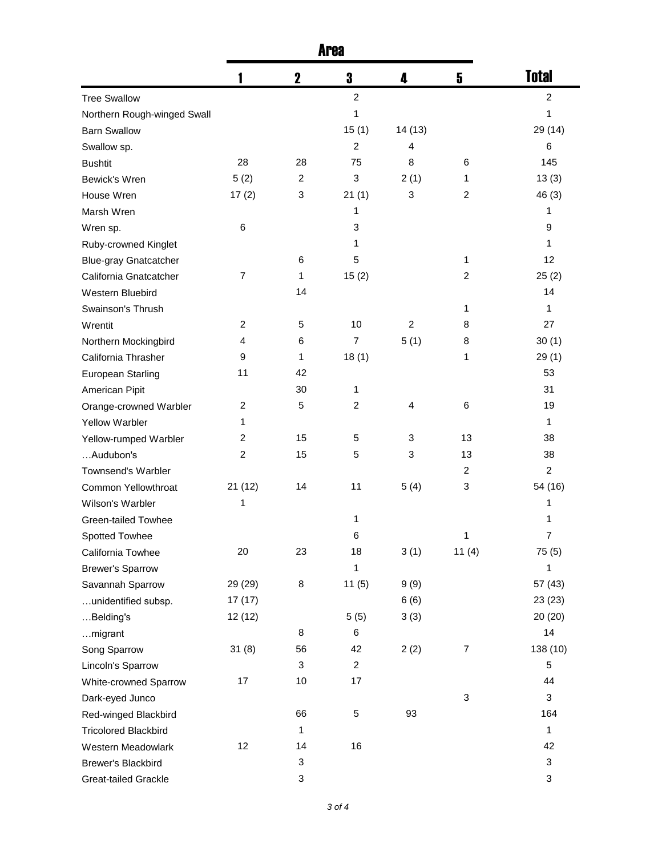|                              |                         | $\mathbf 2$               | 3              | 4              | 5              | <b>Total</b>   |
|------------------------------|-------------------------|---------------------------|----------------|----------------|----------------|----------------|
| <b>Tree Swallow</b>          |                         |                           | $\overline{c}$ |                |                | $\overline{c}$ |
| Northern Rough-winged Swall  |                         |                           | 1              |                |                | 1              |
| <b>Barn Swallow</b>          |                         |                           | 15(1)          | 14(13)         |                | 29 (14)        |
| Swallow sp.                  |                         |                           | $\overline{c}$ | 4              |                | 6              |
| <b>Bushtit</b>               | 28                      | 28                        | 75             | 8              | 6              | 145            |
| Bewick's Wren                | 5(2)                    | 2                         | 3              | 2(1)           | 1              | 13(3)          |
| House Wren                   | 17(2)                   | 3                         | 21(1)          | 3              | $\overline{c}$ | 46(3)          |
| Marsh Wren                   |                         |                           | 1              |                |                | 1              |
| Wren sp.                     | 6                       |                           | 3              |                |                | 9              |
| Ruby-crowned Kinglet         |                         |                           | 1              |                |                | 1              |
| <b>Blue-gray Gnatcatcher</b> |                         | 6                         | 5              |                | 1              | 12             |
| California Gnatcatcher       | 7                       | 1                         | 15(2)          |                | 2              | 25(2)          |
| Western Bluebird             |                         | 14                        |                |                |                | 14             |
| Swainson's Thrush            |                         |                           |                |                | 1              | 1              |
| Wrentit                      | $\overline{2}$          | 5                         | 10             | $\overline{c}$ | 8              | 27             |
| Northern Mockingbird         | 4                       | 6                         | $\overline{7}$ | 5(1)           | 8              | 30(1)          |
| California Thrasher          | 9                       | 1                         | 18(1)          |                | 1              | 29(1)          |
| European Starling            | 11                      | 42                        |                |                |                | 53             |
| American Pipit               |                         | 30                        | 1              |                |                | 31             |
| Orange-crowned Warbler       | 2                       | 5                         | $\overline{c}$ | 4              | 6              | 19             |
| <b>Yellow Warbler</b>        | 1                       |                           |                |                |                | 1              |
| Yellow-rumped Warbler        | $\overline{\mathbf{c}}$ | 15                        | 5              | 3              | 13             | 38             |
| Audubon's                    | $\overline{c}$          | 15                        | 5              | 3              | 13             | 38             |
| Townsend's Warbler           |                         |                           |                |                | $\overline{c}$ | $\overline{c}$ |
| Common Yellowthroat          | 21(12)                  | 14                        | 11             | 5(4)           | 3              | 54 (16)        |
| Wilson's Warbler             | 1                       |                           |                |                |                | 1              |
| <b>Green-tailed Towhee</b>   |                         |                           | 1              |                |                | 1              |
| Spotted Towhee               |                         |                           | 6              |                | 1              | $\overline{7}$ |
| California Towhee            | 20                      | 23                        | 18             | 3(1)           | 11(4)          | 75(5)          |
| <b>Brewer's Sparrow</b>      |                         |                           | 1              |                |                | 1              |
| Savannah Sparrow             | 29 (29)                 | 8                         | 11(5)          | 9(9)           |                | 57 (43)        |
| unidentified subsp.          | 17(17)                  |                           |                | 6(6)           |                | 23 (23)        |
| Belding's                    | 12 (12)                 |                           | 5(5)           | 3(3)           |                | 20 (20)        |
| migrant                      |                         | 8                         | 6              |                |                | 14             |
| Song Sparrow                 | 31(8)                   | 56                        | 42             | 2(2)           | $\overline{7}$ | 138 (10)       |
| Lincoln's Sparrow            |                         | 3                         | $\overline{c}$ |                |                | 5              |
| White-crowned Sparrow        | 17                      | 10                        | 17             |                |                | 44             |
| Dark-eyed Junco              |                         |                           |                |                | $\sqrt{3}$     | 3              |
|                              |                         | 66                        | 5              | 93             |                | 164            |
| Red-winged Blackbird         |                         | 1                         |                |                |                | 1              |
| <b>Tricolored Blackbird</b>  | 12                      | 14                        | 16             |                |                | 42             |
| Western Meadowlark           |                         |                           |                |                |                |                |
| Brewer's Blackbird           |                         | $\ensuremath{\mathsf{3}}$ |                |                |                | 3              |
| Great-tailed Grackle         |                         | 3                         |                |                |                | 3              |